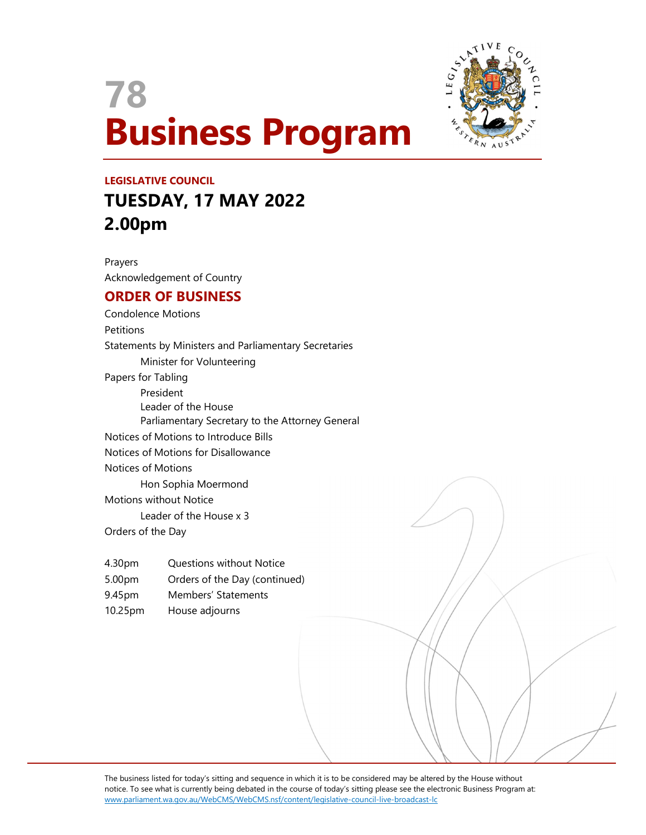



# LEGISLATIVE COUNCIL TUESDAY, 17 MAY 2022 2.00pm

Prayers Acknowledgement of Country

## ORDER OF BUSINESS

Condolence Motions **Petitions** Statements by Ministers and Parliamentary Secretaries Minister for Volunteering Papers for Tabling President Leader of the House Parliamentary Secretary to the Attorney General Notices of Motions to Introduce Bills Notices of Motions for Disallowance Notices of Motions Hon Sophia Moermond Motions without Notice Leader of the House x 3 Orders of the Day

- 4.30pm Questions without Notice
- 5.00pm Orders of the Day (continued)
- 9.45pm Members' Statements
- 10.25pm House adjourns

The business listed for today's sitting and sequence in which it is to be considered may be altered by the House without notice. To see what is currently being debated in the course of today's sitting please see the electronic Business Program at: www.parliament.wa.gov.au/WebCMS/WebCMS.nsf/content/legislative-council-live-broadcast-lc